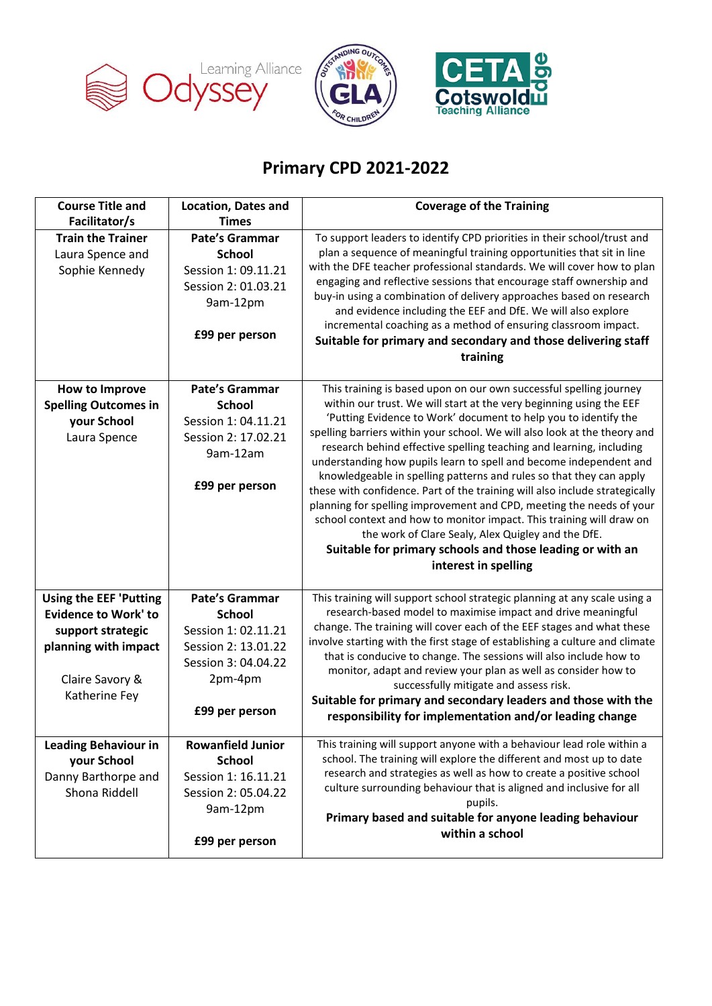





## **Primary CPD 2021-2022**

| <b>Course Title and</b><br>Facilitator/s                                                                                                      | <b>Location, Dates and</b><br><b>Times</b>                                                                                               | <b>Coverage of the Training</b>                                                                                                                                                                                                                                                                                                                                                                                                                                                                                                                                                                                                                                                                                                                                                                                                                                                         |
|-----------------------------------------------------------------------------------------------------------------------------------------------|------------------------------------------------------------------------------------------------------------------------------------------|-----------------------------------------------------------------------------------------------------------------------------------------------------------------------------------------------------------------------------------------------------------------------------------------------------------------------------------------------------------------------------------------------------------------------------------------------------------------------------------------------------------------------------------------------------------------------------------------------------------------------------------------------------------------------------------------------------------------------------------------------------------------------------------------------------------------------------------------------------------------------------------------|
| <b>Train the Trainer</b><br>Laura Spence and<br>Sophie Kennedy                                                                                | <b>Pate's Grammar</b><br><b>School</b><br>Session 1: 09.11.21<br>Session 2: 01.03.21<br>9am-12pm<br>£99 per person                       | To support leaders to identify CPD priorities in their school/trust and<br>plan a sequence of meaningful training opportunities that sit in line<br>with the DFE teacher professional standards. We will cover how to plan<br>engaging and reflective sessions that encourage staff ownership and<br>buy-in using a combination of delivery approaches based on research<br>and evidence including the EEF and DfE. We will also explore<br>incremental coaching as a method of ensuring classroom impact.<br>Suitable for primary and secondary and those delivering staff<br>training                                                                                                                                                                                                                                                                                                 |
| How to Improve<br><b>Spelling Outcomes in</b><br>your School<br>Laura Spence                                                                  | <b>Pate's Grammar</b><br><b>School</b><br>Session 1: 04.11.21<br>Session 2: 17.02.21<br>9am-12am<br>£99 per person                       | This training is based upon on our own successful spelling journey<br>within our trust. We will start at the very beginning using the EEF<br>'Putting Evidence to Work' document to help you to identify the<br>spelling barriers within your school. We will also look at the theory and<br>research behind effective spelling teaching and learning, including<br>understanding how pupils learn to spell and become independent and<br>knowledgeable in spelling patterns and rules so that they can apply<br>these with confidence. Part of the training will also include strategically<br>planning for spelling improvement and CPD, meeting the needs of your<br>school context and how to monitor impact. This training will draw on<br>the work of Clare Sealy, Alex Quigley and the DfE.<br>Suitable for primary schools and those leading or with an<br>interest in spelling |
| <b>Using the EEF 'Putting</b><br><b>Evidence to Work' to</b><br>support strategic<br>planning with impact<br>Claire Savory &<br>Katherine Fey | <b>Pate's Grammar</b><br><b>School</b><br>Session 1: 02.11.21<br>Session 2: 13.01.22<br>Session 3: 04.04.22<br>2pm-4pm<br>£99 per person | This training will support school strategic planning at any scale using a<br>research-based model to maximise impact and drive meaningful<br>change. The training will cover each of the EEF stages and what these<br>involve starting with the first stage of establishing a culture and climate<br>that is conducive to change. The sessions will also include how to<br>monitor, adapt and review your plan as well as consider how to<br>successfully mitigate and assess risk.<br>Suitable for primary and secondary leaders and those with the<br>responsibility for implementation and/or leading change                                                                                                                                                                                                                                                                         |
| <b>Leading Behaviour in</b><br>your School<br>Danny Barthorpe and<br>Shona Riddell                                                            | <b>Rowanfield Junior</b><br><b>School</b><br>Session 1: 16.11.21<br>Session 2: 05.04.22<br>9am-12pm<br>£99 per person                    | This training will support anyone with a behaviour lead role within a<br>school. The training will explore the different and most up to date<br>research and strategies as well as how to create a positive school<br>culture surrounding behaviour that is aligned and inclusive for all<br>pupils.<br>Primary based and suitable for anyone leading behaviour<br>within a school                                                                                                                                                                                                                                                                                                                                                                                                                                                                                                      |